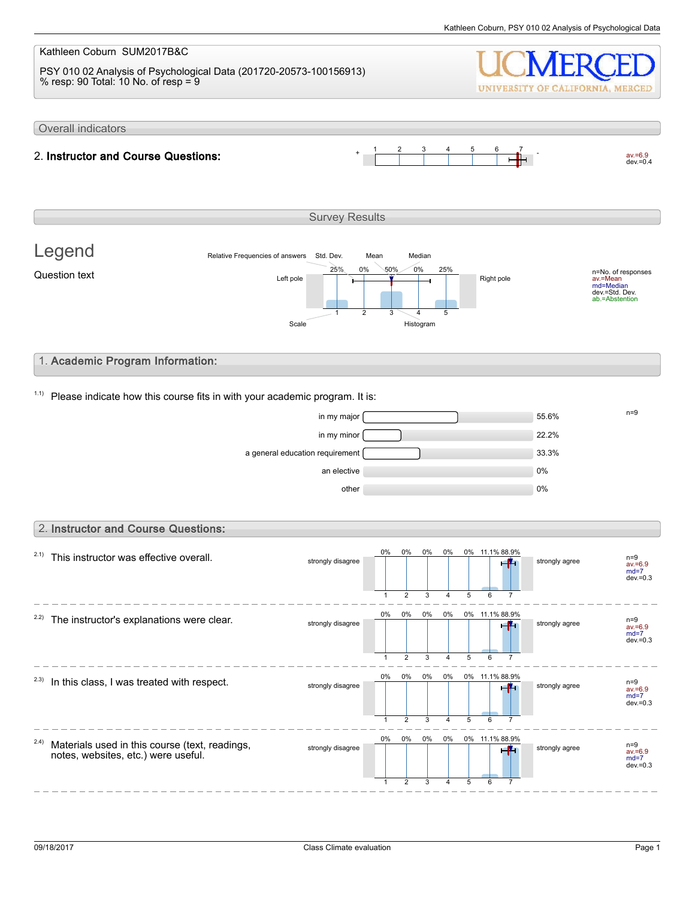#### Kathleen Coburn SUM2017B&C PSY 010 02 Analysis of Psychological Data (201720-20573-100156913) % resp: 90 Total: 10 No. of resp = 9 UNIVERSITY OF CALIFORNIA, MERCED Overall indicators 1 2 3 4 5 6 7  $av.=6.9$ <br>dev.=0.4 2. Instructor and Course Questions: Survey Results Legend Relative Frequencies of answers Std. Dev. Mean Median 0% 0% 50% 25% 25% n=No. of responses av.=Mean md=Median Question text  $L$  and  $L$  the  $\frac{L}{L}$  and  $\frac{L}{L}$  and  $\frac{L}{L}$  Right pole dev.=Std. Dev. ab.=Abstention 1 2 3 4 5 Scale Histogram 1. Academic Program Information:  $1.1$ ) Please indicate how this course fits in with your academic program. It is:  $\frac{m}{s}$  in my major  $\frac{m}{s}$  $\frac{1}{22.2\%}$  in my minor  $\sim$ a general education requirement **12.1 million** 33.3% an elective and the contract of the contract of the contract of the contract of the contract of the contract of the contract of the contract of the contract of the contract of the contract of the contract of the contract o other  $0\%$ 2. Instructor and Course Questions: 0% 0% 0% 0% 0% 11.1% 88.9%  $2.1)$  This instructor was effective overall. strongly disagree strongly agree n=9 av.=6.9 md=7 dev.=0.3  $\overline{2}$ 3 5 1 4 6 7 0% 0% 0% 0% 0% 11.1% 88.9%  $2.2$ ) The instructor's explanations were clear. strongly disagree strongly agree n=9 av.=6.9 md=7  $dev = 0.3$ 1 2 3 4 5  $\overline{6}$ 7 . . . 0% 0% 0% 0% 0% 11.1% 88.9%  $2.3)$  In this class, I was treated with respect. n=9<br>av.=6.9 strongly disagree strongly agree  $md=7$ dev.= $0.3$ 1 2 3 4 5 6 7 0% 0% 0% 0% 0% 11.1% 88.9% 2.4) Materials used in this course (text, readings, strongly disagree strongly agree notes, websites, etc.) were useful. av.=6.9 md=7 dev. $=0.3$ 1 2 3 4 5 6 7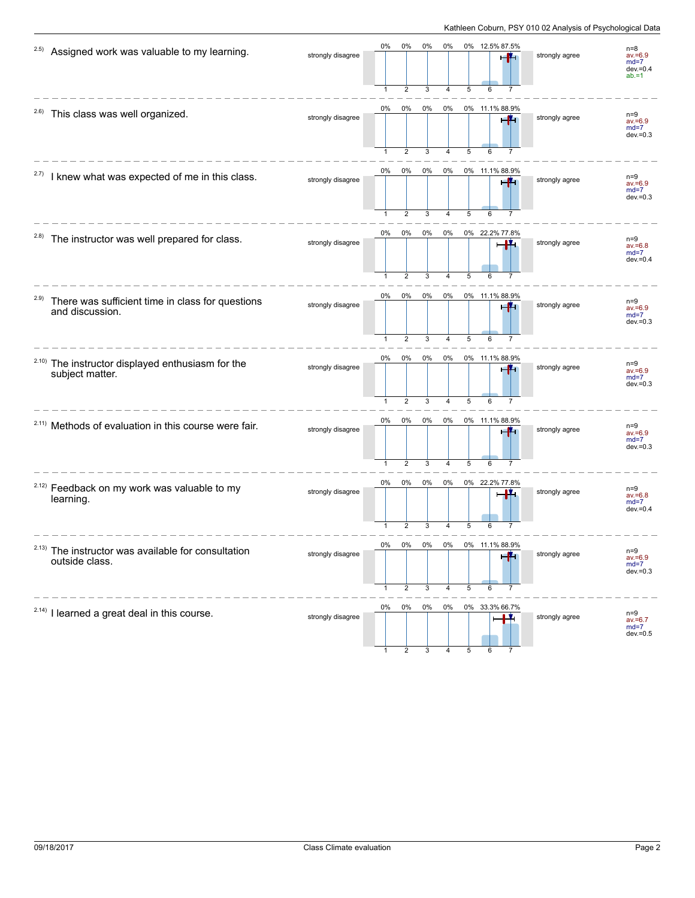| 2.5)  | Assigned work was valuable to my learning.                                      | strongly disagree | 0%                 | 0%<br>$\overline{2}$    | 0%<br>3    | 0%         | 5       | 0% 12.5% 87.5%             | strongly agree | $n=8$<br>$av = 6.9$<br>$md=7$<br>$dev = 0.4$<br>$ab = 1$ |
|-------|---------------------------------------------------------------------------------|-------------------|--------------------|-------------------------|------------|------------|---------|----------------------------|----------------|----------------------------------------------------------|
| 2.6)  | This class was well organized.                                                  | strongly disagree | 0%<br>$\mathbf{1}$ | $0\%$<br>$\overline{2}$ | $0\%$<br>3 | 0%<br>4    | 5       | 0% 11.1% 88.9%<br>6        | strongly agree | $n=9$<br>$av = 6.9$<br>$md=7$<br>$dev = 0.3$             |
| 2.7)  | I knew what was expected of me in this class.                                   | strongly disagree | 0%                 | 0%<br>$\overline{2}$    | 0%<br>3    | 0%         | 5       | 0% 11.1% 88.9%             | strongly agree | $n=9$<br>$av = 6.9$<br>$md=7$<br>$dev = 0.3$             |
| 2.8)  | The instructor was well prepared for class.                                     | strongly disagree | 0%                 | 0%<br>$\overline{2}$    | 0%<br>3    | 0%<br>4    | 5       | 0% 22.2% 77.8%<br>6        | strongly agree | $n=9$<br>$av = 6.8$<br>$md=7$<br>$dev = 0.4$             |
| 2.9)  | There was sufficient time in class for questions<br>and discussion.             | strongly disagree | 0%<br>$\mathbf{1}$ | 0%<br>$\overline{2}$    | 0%<br>3    | 0%<br>4    | 5       | 0% 11.1% 88.9%<br>-14<br>6 | strongly agree | $n=9$<br>$av = 6.9$<br>$md=7$<br>$dev = 0.3$             |
|       | <sup>2.10)</sup> The instructor displayed enthusiasm for the<br>subject matter. | strongly disagree | 0%<br>$\mathbf{1}$ | $0\%$<br>$\overline{2}$ | 0%<br>3    | $0\%$<br>4 | 5       | 0% 11.1% 88.9%             | strongly agree | $n=9$<br>$av = 6.9$<br>$md=7$<br>$dev = 0.3$             |
|       | <sup>2.11)</sup> Methods of evaluation in this course were fair.                | strongly disagree | 0%                 | 0%<br>$\overline{2}$    | 0%<br>3    | 0%<br>4    | 5       | 0% 11.1% 88.9%<br>6        | strongly agree | $n=9$<br>$av = 6.9$<br>$md=7$<br>$dev = 0.3$             |
|       | <sup>2.12)</sup> Feedback on my work was valuable to my<br>learning.            | strongly disagree | 0%<br>-1           | 0%<br>$\overline{2}$    | 0%<br>3    | 0%         | 5       | 0% 22.2% 77.8%<br>Ц.       | strongly agree | $n=9$<br>$av = 6.8$<br>$md=7$<br>$dev = 0.4$             |
| 2.13) | The instructor was available for consultation<br>outside class.                 | strongly disagree | 0%                 | 0%<br>2                 | 0%<br>3    | 0%<br>4    | 0%<br>5 | 00.Y7<br>6                 | strongly agree | $n=9$<br>$av = 6.9$<br>$md=7$<br>$dev = 0.3$             |
|       | <sup>2.14)</sup> I learned a great deal in this course.                         | strongly disagree | 0%                 | 0%                      | 0%         | 0%         |         | 0% 33.3% 66.7%             | strongly agree | $n=9$<br>$av = 6.7$<br>$md=7$<br>$dev = 0.5$             |

1 2 3 4 5 6 7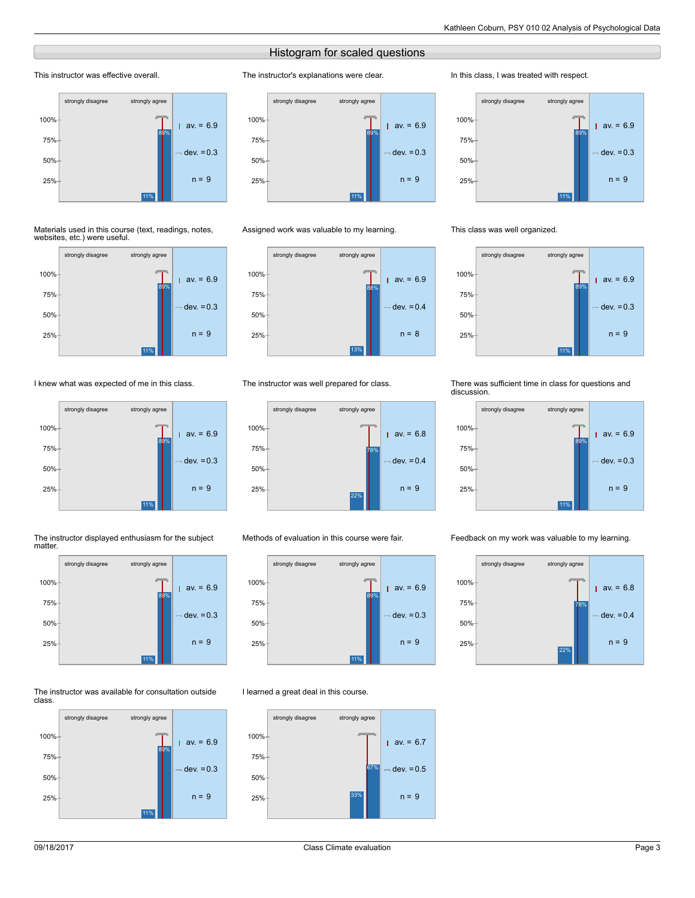# Histogram for scaled questions

The instructor's explanations were clear.

# This instructor was effective overall.



#### Materials used in this course (text, readings, notes, websites, etc.) were useful.



# I knew what was expected of me in this class.



#### The instructor displayed enthusiasm for the subject matter.



#### The instructor was available for consultation outside class.





# Assigned work was valuable to my learning.



# The instructor was well prepared for class.



# Methods of evaluation in this course were fair.



# I learned a great deal in this course.



#### In this class, I was treated with respect.



## This class was well organized.



#### There was sufficient time in class for questions and discussion.



#### Feedback on my work was valuable to my learning.

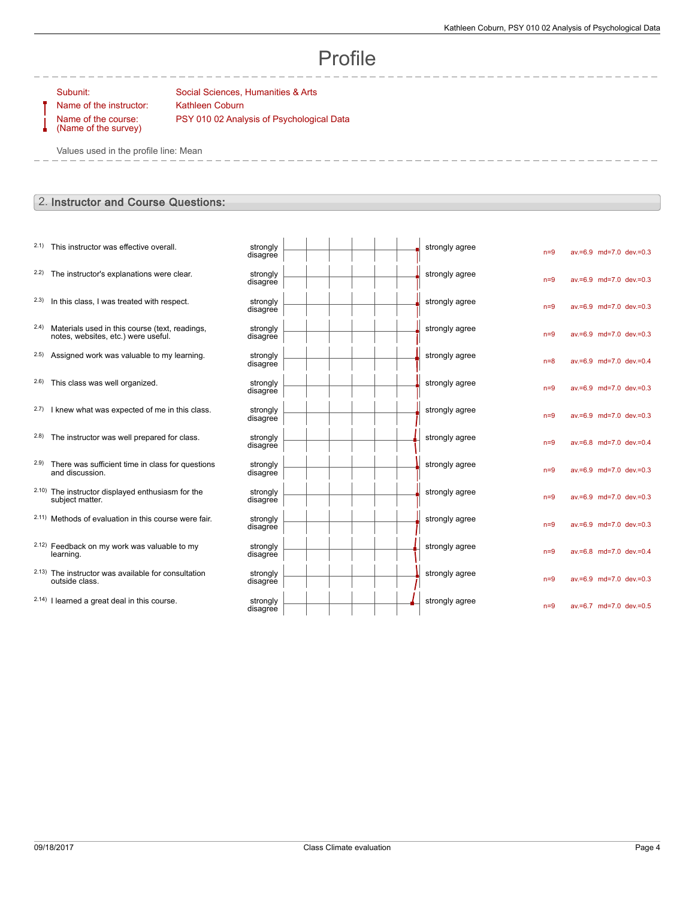# Profile

Name of the course: (Name of the survey)

Subunit: Social Sciences, Humanities & Arts Name of the instructor: Kathleen Coburn PSY 010 02 Analysis of Psychological Data

Values used in the profile line: Mean

# 2. Instructor and Course Questions:

| 2.2) The instructor's explanations were clear.<br>strongly<br>strongly agree<br>$av = 6.9$ md=7.0 dev.=0.3<br>$n=9$<br>disagree<br>2.3)<br>In this class, I was treated with respect.<br>strongly<br>strongly agree<br>av.=6.9 md=7.0 dev.=0.3<br>$n=9$<br>disagree<br>2.4)<br>Materials used in this course (text, readings,<br>strongly<br>strongly agree<br>av.=6.9 md=7.0 dev.=0.3<br>$n=9$<br>notes, websites, etc.) were useful.<br>disagree<br>2.5)<br>Assigned work was valuable to my learning.<br>strongly agree<br>strongly<br>$av.=6.9$ md=7.0 dev.=0.4<br>$n=8$<br>disagree<br>2.6)<br>This class was well organized.<br>strongly<br>strongly agree<br>av.=6.9 md=7.0 dev.=0.3<br>$n=9$<br>disagree<br>2.7) I knew what was expected of me in this class.<br>strongly<br>strongly agree<br>$av.=6.9$ md=7.0 dev.=0.3<br>$n=9$<br>disagree<br>2.8) The instructor was well prepared for class.<br>strongly agree<br>strongly<br>av.=6.8 md=7.0 dev.=0.4<br>$n=9$<br>disagree<br>2.9)<br>There was sufficient time in class for questions<br>strongly agree<br>strongly<br>av.=6.9 md=7.0 dev.=0.3<br>$n=9$<br>and discussion.<br>disagree<br>2.10) The instructor displayed enthusiasm for the<br>strongly<br>strongly agree<br>av.=6.9 md=7.0 dev.=0.3<br>$n=9$<br>subject matter.<br>disagree<br>2.11) Methods of evaluation in this course were fair.<br>strongly agree<br>strongly<br>av.=6.9 md=7.0 dev.=0.3<br>$n=9$<br>disagree<br>2.12) Feedback on my work was valuable to my<br>strongly agree<br>strongly<br>av.=6.8 md=7.0 dev.=0.4<br>$n=9$<br>learning.<br>disagree<br>2.13) The instructor was available for consultation<br>strongly agree<br>strongly<br>av.=6.9 md=7.0 dev.=0.3<br>$n=9$<br>outside class.<br>disagree<br>2.14) I learned a great deal in this course.<br>strongly agree<br>strongly<br>av.=6.7 md=7.0 dev.=0.5<br>$n=9$<br>disagree | 2.1) This instructor was effective overall. | strongly<br>disagree |  |  | strongly agree | $n=9$ |  | av.=6.9 md=7.0 dev.=0.3 |
|------------------------------------------------------------------------------------------------------------------------------------------------------------------------------------------------------------------------------------------------------------------------------------------------------------------------------------------------------------------------------------------------------------------------------------------------------------------------------------------------------------------------------------------------------------------------------------------------------------------------------------------------------------------------------------------------------------------------------------------------------------------------------------------------------------------------------------------------------------------------------------------------------------------------------------------------------------------------------------------------------------------------------------------------------------------------------------------------------------------------------------------------------------------------------------------------------------------------------------------------------------------------------------------------------------------------------------------------------------------------------------------------------------------------------------------------------------------------------------------------------------------------------------------------------------------------------------------------------------------------------------------------------------------------------------------------------------------------------------------------------------------------------------------------------------------------------------------------------------------------------------|---------------------------------------------|----------------------|--|--|----------------|-------|--|-------------------------|
|                                                                                                                                                                                                                                                                                                                                                                                                                                                                                                                                                                                                                                                                                                                                                                                                                                                                                                                                                                                                                                                                                                                                                                                                                                                                                                                                                                                                                                                                                                                                                                                                                                                                                                                                                                                                                                                                                    |                                             |                      |  |  |                |       |  |                         |
|                                                                                                                                                                                                                                                                                                                                                                                                                                                                                                                                                                                                                                                                                                                                                                                                                                                                                                                                                                                                                                                                                                                                                                                                                                                                                                                                                                                                                                                                                                                                                                                                                                                                                                                                                                                                                                                                                    |                                             |                      |  |  |                |       |  |                         |
|                                                                                                                                                                                                                                                                                                                                                                                                                                                                                                                                                                                                                                                                                                                                                                                                                                                                                                                                                                                                                                                                                                                                                                                                                                                                                                                                                                                                                                                                                                                                                                                                                                                                                                                                                                                                                                                                                    |                                             |                      |  |  |                |       |  |                         |
|                                                                                                                                                                                                                                                                                                                                                                                                                                                                                                                                                                                                                                                                                                                                                                                                                                                                                                                                                                                                                                                                                                                                                                                                                                                                                                                                                                                                                                                                                                                                                                                                                                                                                                                                                                                                                                                                                    |                                             |                      |  |  |                |       |  |                         |
|                                                                                                                                                                                                                                                                                                                                                                                                                                                                                                                                                                                                                                                                                                                                                                                                                                                                                                                                                                                                                                                                                                                                                                                                                                                                                                                                                                                                                                                                                                                                                                                                                                                                                                                                                                                                                                                                                    |                                             |                      |  |  |                |       |  |                         |
|                                                                                                                                                                                                                                                                                                                                                                                                                                                                                                                                                                                                                                                                                                                                                                                                                                                                                                                                                                                                                                                                                                                                                                                                                                                                                                                                                                                                                                                                                                                                                                                                                                                                                                                                                                                                                                                                                    |                                             |                      |  |  |                |       |  |                         |
|                                                                                                                                                                                                                                                                                                                                                                                                                                                                                                                                                                                                                                                                                                                                                                                                                                                                                                                                                                                                                                                                                                                                                                                                                                                                                                                                                                                                                                                                                                                                                                                                                                                                                                                                                                                                                                                                                    |                                             |                      |  |  |                |       |  |                         |
|                                                                                                                                                                                                                                                                                                                                                                                                                                                                                                                                                                                                                                                                                                                                                                                                                                                                                                                                                                                                                                                                                                                                                                                                                                                                                                                                                                                                                                                                                                                                                                                                                                                                                                                                                                                                                                                                                    |                                             |                      |  |  |                |       |  |                         |
|                                                                                                                                                                                                                                                                                                                                                                                                                                                                                                                                                                                                                                                                                                                                                                                                                                                                                                                                                                                                                                                                                                                                                                                                                                                                                                                                                                                                                                                                                                                                                                                                                                                                                                                                                                                                                                                                                    |                                             |                      |  |  |                |       |  |                         |
|                                                                                                                                                                                                                                                                                                                                                                                                                                                                                                                                                                                                                                                                                                                                                                                                                                                                                                                                                                                                                                                                                                                                                                                                                                                                                                                                                                                                                                                                                                                                                                                                                                                                                                                                                                                                                                                                                    |                                             |                      |  |  |                |       |  |                         |
|                                                                                                                                                                                                                                                                                                                                                                                                                                                                                                                                                                                                                                                                                                                                                                                                                                                                                                                                                                                                                                                                                                                                                                                                                                                                                                                                                                                                                                                                                                                                                                                                                                                                                                                                                                                                                                                                                    |                                             |                      |  |  |                |       |  |                         |
|                                                                                                                                                                                                                                                                                                                                                                                                                                                                                                                                                                                                                                                                                                                                                                                                                                                                                                                                                                                                                                                                                                                                                                                                                                                                                                                                                                                                                                                                                                                                                                                                                                                                                                                                                                                                                                                                                    |                                             |                      |  |  |                |       |  |                         |
|                                                                                                                                                                                                                                                                                                                                                                                                                                                                                                                                                                                                                                                                                                                                                                                                                                                                                                                                                                                                                                                                                                                                                                                                                                                                                                                                                                                                                                                                                                                                                                                                                                                                                                                                                                                                                                                                                    |                                             |                      |  |  |                |       |  |                         |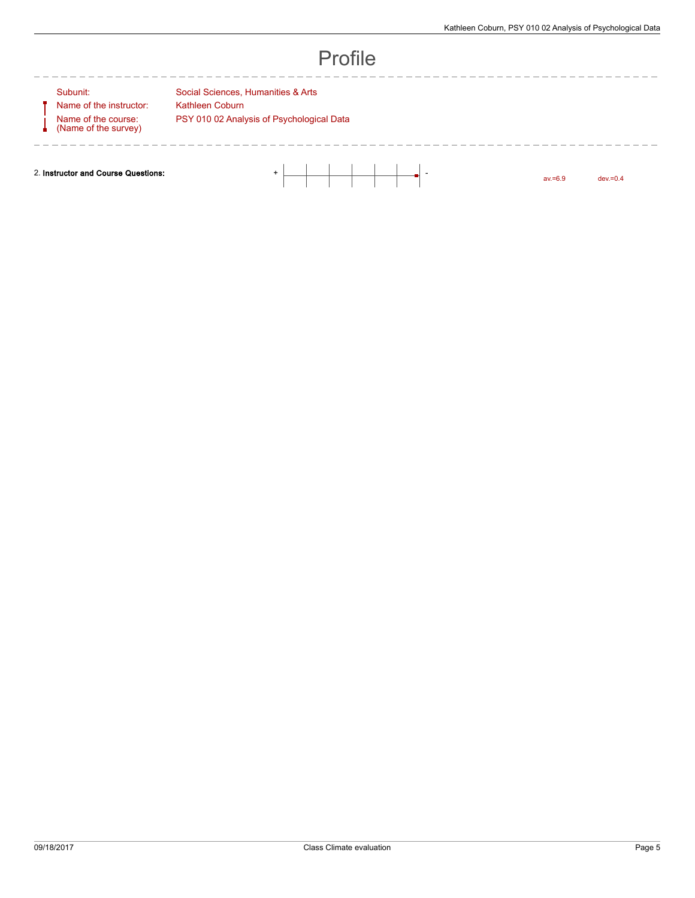---------------

| Н<br>ı |  |
|--------|--|
|--------|--|

 $\overline{\phantom{0}}$ 

Name of the course: (Name of the survey)

 $\frac{1}{2} \frac{1}{2} \frac{1}{2} \frac{1}{2} \frac{1}{2} \frac{1}{2} \frac{1}{2} \frac{1}{2} \frac{1}{2} \frac{1}{2} \frac{1}{2} \frac{1}{2} \frac{1}{2} \frac{1}{2} \frac{1}{2} \frac{1}{2} \frac{1}{2} \frac{1}{2} \frac{1}{2} \frac{1}{2} \frac{1}{2} \frac{1}{2} \frac{1}{2} \frac{1}{2} \frac{1}{2} \frac{1}{2} \frac{1}{2} \frac{1}{2} \frac{1}{2} \frac{1}{2} \frac{1}{2} \frac{$ 

Subunit: Social Sciences, Humanities & Arts Name of the instructor: Kathleen Coburn PSY 010 02 Analysis of Psychological Data

 $\frac{1}{2}$ 

2. Instructor and Course Questions: + -

av.=6.9 dev.=0.4